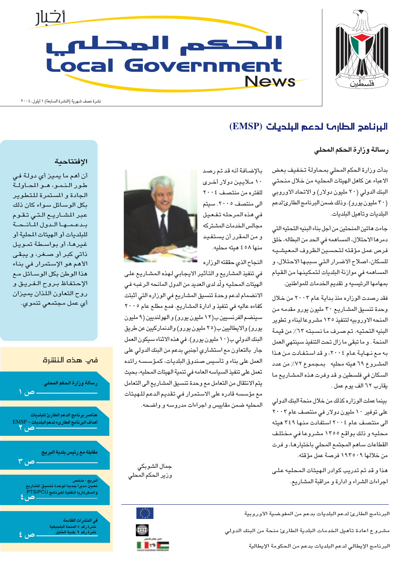

# <u>أثلار</u> الحكم المحلفي **Local Government News**

نشرة نصف شهرية (النشرة السابعة) ١ أيلول ،٢٠٠٤

## البرنامج الطارمة لدعم البلديات (EMSP)

#### رسالة وزارة الحكم المحلى

بدأت وزارة الحكم المحلى بمحاولة تخفيف بعض الاعباء عن كاهل الهيئات المحليه من خلال منحتي البنك الدولي (٢٠ مليون دولار) و الاتحاد الاوروبي (٣٠ مليون يورو). وذلك ضمن البرنامج الطارئ لدعم البلديات وتأهيل البلديات.

جاءت هاتين المنحتين من أجل بناء البنيه التحتيه التى دمرها الاحتلال، المساهمه في الحد من البطاله، خلق فرص عمل مؤقته لتحسين الظروف المعيشيه للسكان، اصلاح الاضرار التي سببها الاحتلال، و المساهمه في موازنة البلديات لتمكينها من القيام بمهامها الرئيسيه وتقديم الخدمات للمواطنين.

فقد رصدت الوزاره منذ بداية عام ٢٠٠٣ من خلال وحدة تنسيق المشاريع ٣٠ مليون يورو مقدمه من المنحه الاوروبيه لتنفيذ ١٣٥ مشروعا لبناء وتطوير البنيه التحتيه. تم صرف ما نسبته ٦٣٪ من قيمة المنحة . و ما تبقى ما زال تحت التنفيذ سينتهى العمل به مع نهاية عام ٢٠٠٤، وقد استفادت من هذا المشروع ٦٩ هيئه محليه بمجموع ٧٢٪ من عدد السكان في فلسطين.و قد وفرت هذه المشـاريـع مـا يقارب ٦٢ الف يوم عمل .

بينما عملت الوزاره كذلك من خلال منحة البنك الدولى علی توفیر ۱۰ ملیون دولار فی منتصف عام ۲۰۰۳ الی منتصف عام ٢٠٠٤ استفادت منها ٣٤٩ هيئه محليه و ذلك بواقع ١٣٥٥ مشروعا في مختلف القطاعات ساهم المجتمع المحلي باختيارها، و فرت من خلالها ۱۹۳۵۰۹ فرصة عمل مؤقته.

هذا و قد تم تدريب كوادر الـهيئات المحليه علـى اجراءات الشراء و ادارة و مراقبة المشاريع.

بالإضافة أنه قد تم رصد ۱۰ ملايين دولار أخرى للفتره من منتصف ٢٠٠٤ الی منتصف ٢٠٠٥. سيتم فى هذه المرحله تفعيل مجالس الخدمات المشتركه و من المقرر أن يستفيد منها ٥٨ ٤ هيئه محليه.

النجاح الذى حققته الوزاره

في تنفيذ المشاريع و التأثير الايجابي لهذه المشاريع على الهيئات المحليه ولَّد لدى العديد من الدول المانحه الرغبه في الانضمام لدعم وحدة تنسيق المشاريع في الوزاره التي أثبتت کفاءه عالیه في تنفیذ و ادارة المشاریع. فمع مطلع عام ٢٠٠٥ سینضم الفرنسیین ب(۱۲ ملیون یورو) و الهولندیین (۹ ملیون يورو) والايطاليين ب(٢٥ مليون يورو) والدنماركيين عن طريق البنك الدولي ب(١٠ مليون يورو). في هذه الاثناء سيكون العمل جار بالتعاون مع استشاري أجنبي بدعم من البنك الدولي على العمل على بناء و تأسيس صندوق البلديات، كمؤسسـه رائده تعمل على تنفيذ السياسه العامه في تنمية الهيئات المحليه، بحيث يتم الانتقال من التعامل مع وحدة تنسيق المشاريع الى التعامل مع مؤسسه قادره على الاستمرار في تقديم الدعم للهيئات

المحليه ضمن مقاييس و اجراءات مدروسه و واضحه.



جمال الشوبكي

وزير الحكم المحلى

 $\begin{bmatrix} -\frac{1}{2} & \frac{1}{2} & \frac{1}{2} \\ \frac{1}{2} & \frac{1}{2} & \frac{1}{2} \\ \frac{1}{2} & \frac{1}{2} & \frac{1}{2} \end{bmatrix}$ 

∰

**II HE** 

الافتتاحية

أن أهم ما يميز أي دولة في طور النمو، هو المحاولة الجادة والمستمرة للتطوير بكل الوسـائل سـواء كان ذلك عبر المشاريع التي تقوم بدعمها الدول المانحة للبلديات أو الهيئات المحلية أو غيرها، أو بواسطة تمويل ذاتی کبر أو صـغر، و يبقی الأهم هو الإستمرار في بناء هذا الوطن بكل الوسـائل مـِع الإحتفاظ بروح الفريق و روح التعاون اللذان يميزان أي عمل مجتمعي تنموي.





البرنامج الطارئ لدعم البلديات بدعم من المفوضية الأوروبية

مشروع اعادة تأهيل الخدمات البلدية الطارئ منحة من البنك الدولي

البرنامج الإيطالي لدعم البلديات بدعم من الحكومة الإيطالية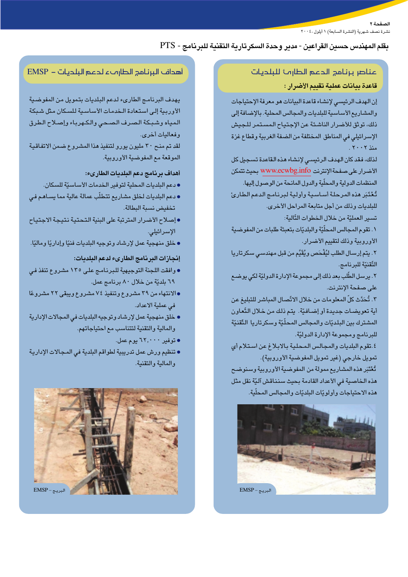الصفحة ٢ .<br>نشرة نصف شهرية (النشرة السابعة) ١ أيلول ، ٢٠٠٤

## بقلم المهندس حسين القراعين - مدير وحدة السكر تارية التقنية للبرنامج - PTS

## عناصر برنامج الدعم الطارمة للبلديات قاعدة بيانات عملية تقييم الأضرار :

إن الهدف الرئيسي لإنشاء قاعدة البيانات هو معرفة الإحتياجات والمشاريع الأساسية للبلديات والمجالس المحلية. بالإضافة إلى ذلك، توثق للأضرار الناشئة عن الإجتباح المستمر للجيش الإسرائيلي في المناطق المختلفة من الضفة الغربية وقطاع غزة منذ ٢٠٠٢.

لذلك، فقد كان الهدف الرئيسي لإنشاء هذه القاعدة تسجيل كل الأضرار على صفحة الإنترنت www.ecwbg.info بحيث تتمكن المنظمات الدولية والمحلّية والدول المانحة من الوصول إليها. تُعْتَبَر هذه المرحلة أساسية وأولية لبرنامج الدعم الطارئ

للبلديات وذلك من أجل متابعة المراحل الأخرى.

تسير العمليّة من خلال الخطوات التّالية:

١. تقوم المجالس المحلِّيّة والبلديّات بتعبئة طلبات من المفوضية الأوروبية وذلك لتقييم الأضرار.

٢. يتم إرسال الطلب ليُفْحَص ويُقَيَّم من قبل مهندسى سكر تاريا التّقنيّة للبرنامج.

٢. يرسل الطَّلب بعد ذلك إلى مجموعة الإدارة الدوليّة لكى يوضـع على صفحة الإنترنت.

٣. تُحَدَّث كلِّ المعلومات من خلال الاتِّصال المباشر للتبليغ عن أية تعويضات جديدة أو إضافيّة. يتم ذلك من خلال التّعاون المشترك بين البلديّات والمجالس المحلّيّة وسكرتاريا التّقنيّة للبرنامج ومجموعة الإدارة الدوليّة.

٤. تقوم البلديات والمجالس المحلية بالابلاغ عن استلام أى تمويل خارجي (غير تمويل المفوضية الأوروبية). تُعْتَبَر هذه المشاريع ممولة من المفوضية الأوروبية وسنوضح هذه الخاصية في الأعداد القادمة بحيث سنناقش آليّة نقل مثل هذه الاحتياجات وأولويّات البلديّات والمجالس المحلّية.



## أهداف البرنامج الطارهء لدعم البلديات – EMSP

يهدف البرنامج الطارىء لدعم البلديات بتمويل من المفوضية الأوربية إلى استعادة الخدمات الأساسية للسكان مثل شبكة المياه وشبكة الصرف الصحى والكهرباء وإصلاح الطرق وفعاليات أخرى.

لقد تم منح ٣٠ مليون يورو لتنفيذ هذا المشروع ضمن الاتفاقية الموقعة مع المفوضية الأوروبية.

### أهداف برنامج دعم البلديات الطارىء:

- دعم البلديات المحلية لتوفير الخدمات الأساسيّة للسكان.
- دعم البلديات لخلق مشاريع تتطلّب عمالة عالية مما يسـاهـم فـي تخفيض نسبة البطالة.
- إصلاح الأضرار المترتبة على البنية التحتية نتيجة الاجتياح الإسرائيلى.
- خلق مذهجية عمل لإرشاد وتوجيه البلديات فنيّا وإداريًا وماليًا.

#### إنجازات البرنامج الطارىء لدعم البلديات:

- وافقت اللجنة التوجيهية للبرنامج على ١٣٥ مشروع تنفذ في ٦٩ بلديّة من خلال ٨٠ برنامج عمل.
- •الانتهاء من ٣٩ مشروع وتنفيذ ٧٤ مشروع ويبقى ٢٢ مشروعًا في عملية الاعداد.
- خلق منهجية عمل لإرشاد وتوجيه البلديات في المجالات الإدارية والمالية والتقنية لتتناسب مع احتياجاتهم.
	- توفیر ۲۲٫۰۰۰ یوم عمل.
- تنظيم ورش عمل تدريبية لطواقم البلدية في المجالات الإدارية والمالية والتقنية.

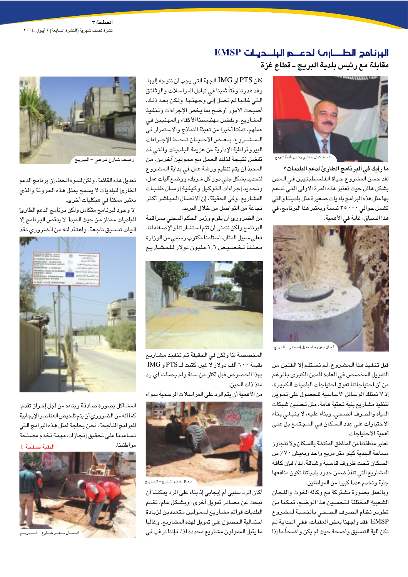## البرنامج الطسارمة لدعه البلديات EMSP مقابلة مع رئيس بلدية البريج ــ قطاع غزة



ىيد كمال بغدادي رئيس بلدية البريج

ما رأيك في البرنامج الطارئ لدعم البلديات؟ لقد حسن المشروع حياة الفلسطينيين فى المدن بشكل هائل حيث تعتبر هذه المرة الأولى التى تدعم بها مثل هذه البرامج بلديات صغيرة مثل بلديتنا والتى تشمل حوالي ٣٥٠٠٠ نسمة ويعتبر هذا البرنامج، في هذا السياق، غاية في الأهمية.



أعمال حفر وبناء منهل إسمنتي – البريج

قبل تنفيذ هذا المشروع، لم نستلم إلا القليل من التمويل المخصص فى العادة للمدن الكبرى بالرغم من أن احتياجاتنا تفوق احتياجات البلديات الكبيرة، إذ لا نمتلك الوسائل الأساسية للحصول على تمويل لتنفيذ مشاريع بنية تحتية هامة، مثل تحسين شبكات المياه والصرف الصحى. وبناء عليه، لا ينبغي بناء الاختيارات على عدد السكان في المجتمع بل على أهمية الاحتياجات.

تعتبر منطقتنا من المناطق المكتظة بالسكان ولا تتجاوز مساحة البلدية كيلو متر مربع واحد ويعيش ٧٠٪ من السكان تحت ظروف قاسية وشاقة. لذا، فإن كافة المشاريع التى تنفذ ضمن حدود بلدياتنا تكون منافعها جلية وتخدم عددا كبيرا من المواطنين.

وبالعمل بصورة مشتركة مع وكالة الغوث واللجان الشعبية المختلفة لتحسين هذا الوضع، تمكنا من تطوير نظام الصرف الصحى بالنسبة لمشروع EMSP فقد واجهنا بعض العقبات، ففي البداية لم تكن آلية التنسيق واضحة حيث لم يكن واضحاً ما إذا

كان PTS أو IMG الجهة التي يجب أن نتوجه إليها. وقد هدرنا وقتاً ثمينا فى تبادل المراسلات والوثائق التي غالبا لم تصل إلى وجهتها. ولكن بعد ذلك، أصبحت الأمور أوضح بما يخص الإجراءات وتنفيذ المشاريع. وبفضل مهندسينا الأكفاء والمهنيين في عملهم، تمكنا أخيرا من تعبئة النماذج والاستمرار في المشروع. بعض الأحيان تحط الإجراءات البيروقراطية الإدارية من عزيمة البلديات والتى قد تفضل نتيجة لذلك العمل مع ممولين آخرين. من المحبذ أن يتم تنظيم ورشة عمل في بداية المشروع لتحديد بشكل جلى دور كل شريك، ووضع آليات عمل، وتحديد إجراءات التوكيل وكيفية إرسال طلبات المشاريع. وفي الحقيقة، إن الاتصال المباشر أكثر نجاعة من التواصل من خلال البريد.

من الضروري أن يقوم وزير الحكم المحلى بمراقبة البرنامج ولكن نتمنى أن تتم استشارتنا والإصغاء لنا. فعلى سبيل المثال، استلمنا مكتوب رسمي من الوزارة معلناً تخصيص ١٫٦ مليون دولار للمشاريع



المخصصة لنا ولكن في الحقيقة تم تنفيذ مشاريع بقيمة ٦٠٠ ألف دولار لا غير. كتبت لـ PTS و IMG بهذا الخصوص قبل أكثر من سنة ولم يصلنا أي رد منذ ذلك الحين.

من الأهمية أن يتم الرد على المراسلات الرسمية سواء



أكان الرد سلبي أم إيجابي إذ بناء على الرد يمكننا أن نبحث عن مصادر تمويل أخرى. وبشكل عام، تقدم البلديات قوائم مشاريع لممولين متعددين لزيادة احتمالية الحصول على تمويل لهذه المشاريع. وغالبا ما يقبل الممولون مشاريع محددة لذا، فإننا نرغب في



رصف شارع فرعي – البريج

تعديل هذه القائمة. ولكن لسوء الحظ، إن برنامج الدعم الطارئ للبلديات لا يسمح بمثل هذه المرونة والذي يعتبر ممكنا في هيكليات أخرى.

لا وجود لبرنامج متكامل ولكن برنامج الدعم الطارئ للبلديات ممتاز من حيث المبدأ. لا ينقص البرنامج إلا آليات تنسيق ناجعة. وأعتقد أنه من الضرورى نقد



المشاكل بصورة صادقة وبناءه من أجل إحراز تقدم. كما أنه من الضروري أن يتم تلخيص العناصر الإيجابية للبرامج الناجحة. نحن بحاجة لمثل هذه البرامج التي تساعدنا على تحقيق إنجازات مهمة تخدم مصلحة مواطنينا. البقية صفحة ٤



ال حفر شارع -البريج